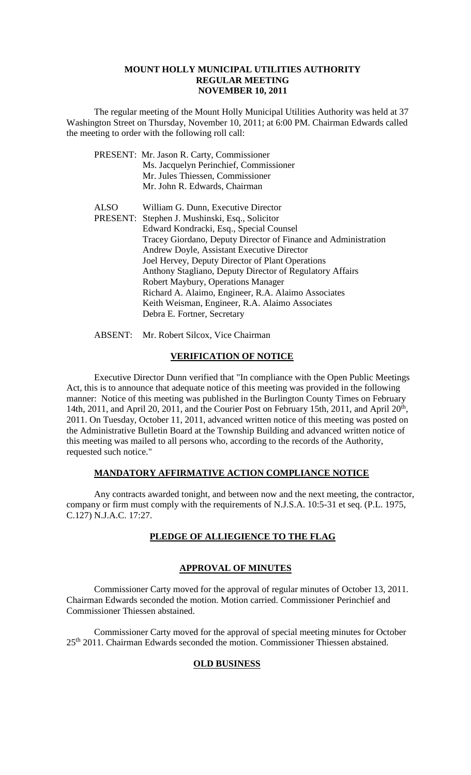#### **MOUNT HOLLY MUNICIPAL UTILITIES AUTHORITY REGULAR MEETING NOVEMBER 10, 2011**

The regular meeting of the Mount Holly Municipal Utilities Authority was held at 37 Washington Street on Thursday, November 10, 2011; at 6:00 PM. Chairman Edwards called the meeting to order with the following roll call:

|      | PRESENT: Mr. Jason R. Carty, Commissioner                      |
|------|----------------------------------------------------------------|
|      | Ms. Jacquelyn Perinchief, Commissioner                         |
|      | Mr. Jules Thiessen, Commissioner                               |
|      | Mr. John R. Edwards, Chairman                                  |
| ALSO | William G. Dunn, Executive Director                            |
|      | PRESENT: Stephen J. Mushinski, Esq., Solicitor                 |
|      | Edward Kondracki, Esq., Special Counsel                        |
|      | Tracey Giordano, Deputy Director of Finance and Administration |
|      | Andrew Doyle, Assistant Executive Director                     |
|      | Joel Hervey, Deputy Director of Plant Operations               |
|      | Anthony Stagliano, Deputy Director of Regulatory Affairs       |
|      | Robert Maybury, Operations Manager                             |
|      | Richard A. Alaimo, Engineer, R.A. Alaimo Associates            |
|      | Keith Weisman, Engineer, R.A. Alaimo Associates                |
|      | Debra E. Fortner, Secretary                                    |
|      |                                                                |

ABSENT: Mr. Robert Silcox, Vice Chairman

# **VERIFICATION OF NOTICE**

Executive Director Dunn verified that "In compliance with the Open Public Meetings Act, this is to announce that adequate notice of this meeting was provided in the following manner: Notice of this meeting was published in the Burlington County Times on February 14th, 2011, and April 20, 2011, and the Courier Post on February 15th, 2011, and April  $20<sup>th</sup>$ , 2011. On Tuesday, October 11, 2011, advanced written notice of this meeting was posted on the Administrative Bulletin Board at the Township Building and advanced written notice of this meeting was mailed to all persons who, according to the records of the Authority, requested such notice."

# **MANDATORY AFFIRMATIVE ACTION COMPLIANCE NOTICE**

Any contracts awarded tonight, and between now and the next meeting, the contractor, company or firm must comply with the requirements of N.J.S.A. 10:5-31 et seq. (P.L. 1975, C.127) N.J.A.C. 17:27.

# **PLEDGE OF ALLIEGIENCE TO THE FLAG**

# **APPROVAL OF MINUTES**

Commissioner Carty moved for the approval of regular minutes of October 13, 2011. Chairman Edwards seconded the motion. Motion carried. Commissioner Perinchief and Commissioner Thiessen abstained.

Commissioner Carty moved for the approval of special meeting minutes for October 25th 2011. Chairman Edwards seconded the motion. Commissioner Thiessen abstained.

# **OLD BUSINESS**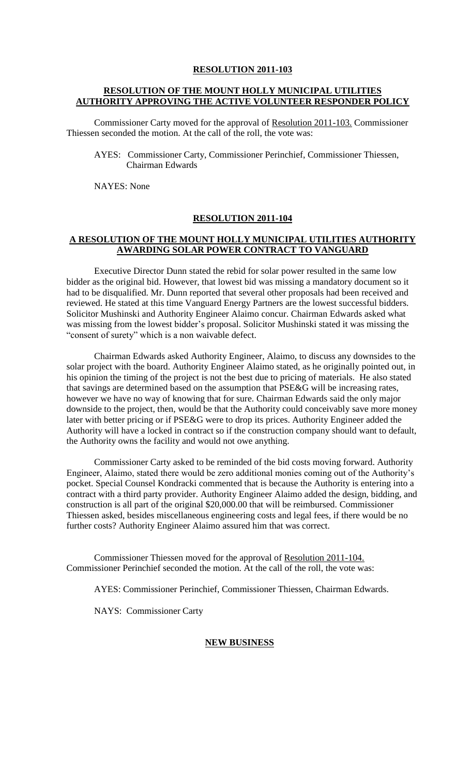# **RESOLUTION OF THE MOUNT HOLLY MUNICIPAL UTILITIES AUTHORITY APPROVING THE ACTIVE VOLUNTEER RESPONDER POLICY**

Commissioner Carty moved for the approval of Resolution 2011-103. Commissioner Thiessen seconded the motion. At the call of the roll, the vote was:

AYES: Commissioner Carty, Commissioner Perinchief, Commissioner Thiessen, Chairman Edwards

NAYES: None

#### **RESOLUTION 2011-104**

### **A RESOLUTION OF THE MOUNT HOLLY MUNICIPAL UTILITIES AUTHORITY AWARDING SOLAR POWER CONTRACT TO VANGUARD**

Executive Director Dunn stated the rebid for solar power resulted in the same low bidder as the original bid. However, that lowest bid was missing a mandatory document so it had to be disqualified. Mr. Dunn reported that several other proposals had been received and reviewed. He stated at this time Vanguard Energy Partners are the lowest successful bidders. Solicitor Mushinski and Authority Engineer Alaimo concur. Chairman Edwards asked what was missing from the lowest bidder's proposal. Solicitor Mushinski stated it was missing the "consent of surety" which is a non waivable defect.

Chairman Edwards asked Authority Engineer, Alaimo, to discuss any downsides to the solar project with the board. Authority Engineer Alaimo stated, as he originally pointed out, in his opinion the timing of the project is not the best due to pricing of materials. He also stated that savings are determined based on the assumption that PSE&G will be increasing rates, however we have no way of knowing that for sure. Chairman Edwards said the only major downside to the project, then, would be that the Authority could conceivably save more money later with better pricing or if PSE&G were to drop its prices. Authority Engineer added the Authority will have a locked in contract so if the construction company should want to default, the Authority owns the facility and would not owe anything.

Commissioner Carty asked to be reminded of the bid costs moving forward. Authority Engineer, Alaimo, stated there would be zero additional monies coming out of the Authority's pocket. Special Counsel Kondracki commented that is because the Authority is entering into a contract with a third party provider. Authority Engineer Alaimo added the design, bidding, and construction is all part of the original \$20,000.00 that will be reimbursed. Commissioner Thiessen asked, besides miscellaneous engineering costs and legal fees, if there would be no further costs? Authority Engineer Alaimo assured him that was correct.

Commissioner Thiessen moved for the approval of Resolution 2011-104. Commissioner Perinchief seconded the motion. At the call of the roll, the vote was:

AYES: Commissioner Perinchief, Commissioner Thiessen, Chairman Edwards.

NAYS: Commissioner Carty

#### **NEW BUSINESS**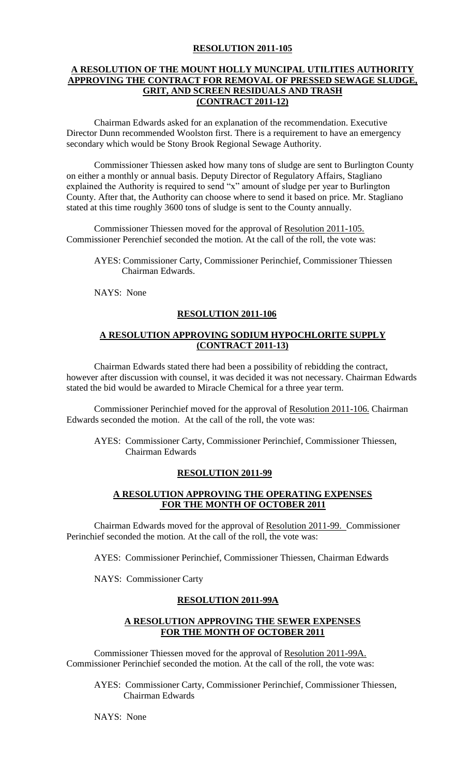# **A RESOLUTION OF THE MOUNT HOLLY MUNCIPAL UTILITIES AUTHORITY APPROVING THE CONTRACT FOR REMOVAL OF PRESSED SEWAGE SLUDGE, GRIT, AND SCREEN RESIDUALS AND TRASH (CONTRACT 2011-12)**

Chairman Edwards asked for an explanation of the recommendation. Executive Director Dunn recommended Woolston first. There is a requirement to have an emergency secondary which would be Stony Brook Regional Sewage Authority.

Commissioner Thiessen asked how many tons of sludge are sent to Burlington County on either a monthly or annual basis. Deputy Director of Regulatory Affairs, Stagliano explained the Authority is required to send "x" amount of sludge per year to Burlington County. After that, the Authority can choose where to send it based on price. Mr. Stagliano stated at this time roughly 3600 tons of sludge is sent to the County annually.

Commissioner Thiessen moved for the approval of Resolution 2011-105. Commissioner Perenchief seconded the motion. At the call of the roll, the vote was:

AYES: Commissioner Carty, Commissioner Perinchief, Commissioner Thiessen Chairman Edwards.

NAYS: None

## **RESOLUTION 2011-106**

# **A RESOLUTION APPROVING SODIUM HYPOCHLORITE SUPPLY (CONTRACT 2011-13)**

Chairman Edwards stated there had been a possibility of rebidding the contract, however after discussion with counsel, it was decided it was not necessary. Chairman Edwards stated the bid would be awarded to Miracle Chemical for a three year term.

Commissioner Perinchief moved for the approval of Resolution 2011-106. Chairman Edwards seconded the motion. At the call of the roll, the vote was:

AYES: Commissioner Carty, Commissioner Perinchief, Commissioner Thiessen, Chairman Edwards

#### **RESOLUTION 2011-99**

# **A RESOLUTION APPROVING THE OPERATING EXPENSES FOR THE MONTH OF OCTOBER 2011**

Chairman Edwards moved for the approval of Resolution 2011-99. Commissioner Perinchief seconded the motion. At the call of the roll, the vote was:

AYES: Commissioner Perinchief, Commissioner Thiessen, Chairman Edwards

NAYS: Commissioner Carty

# **RESOLUTION 2011-99A**

#### **A RESOLUTION APPROVING THE SEWER EXPENSES FOR THE MONTH OF OCTOBER 2011**

Commissioner Thiessen moved for the approval of Resolution 2011-99A. Commissioner Perinchief seconded the motion. At the call of the roll, the vote was:

AYES: Commissioner Carty, Commissioner Perinchief, Commissioner Thiessen, Chairman Edwards

NAYS: None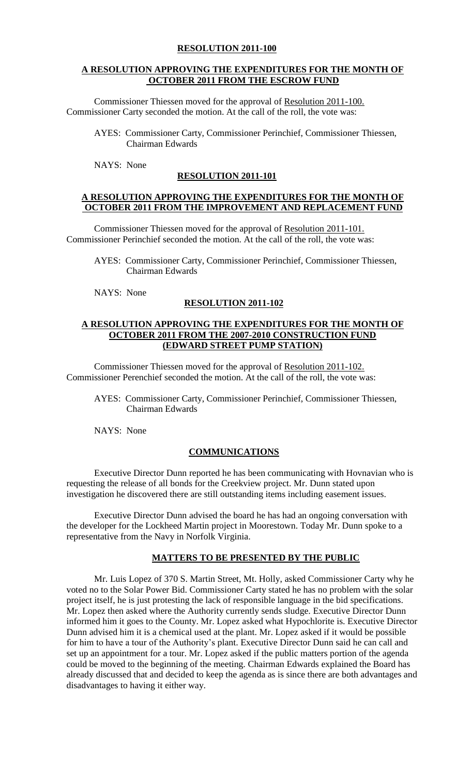## **A RESOLUTION APPROVING THE EXPENDITURES FOR THE MONTH OF OCTOBER 2011 FROM THE ESCROW FUND**

Commissioner Thiessen moved for the approval of Resolution 2011-100. Commissioner Carty seconded the motion. At the call of the roll, the vote was:

- AYES: Commissioner Carty, Commissioner Perinchief, Commissioner Thiessen, Chairman Edwards
- NAYS: None

## **RESOLUTION 2011-101**

#### **A RESOLUTION APPROVING THE EXPENDITURES FOR THE MONTH OF OCTOBER 2011 FROM THE IMPROVEMENT AND REPLACEMENT FUND**

Commissioner Thiessen moved for the approval of Resolution 2011-101. Commissioner Perinchief seconded the motion. At the call of the roll, the vote was:

- AYES: Commissioner Carty, Commissioner Perinchief, Commissioner Thiessen, Chairman Edwards
- NAYS: None

## **RESOLUTION 2011-102**

## **A RESOLUTION APPROVING THE EXPENDITURES FOR THE MONTH OF OCTOBER 2011 FROM THE 2007-2010 CONSTRUCTION FUND (EDWARD STREET PUMP STATION)**

Commissioner Thiessen moved for the approval of Resolution 2011-102. Commissioner Perenchief seconded the motion. At the call of the roll, the vote was:

AYES: Commissioner Carty, Commissioner Perinchief, Commissioner Thiessen, Chairman Edwards

NAYS: None

#### **COMMUNICATIONS**

Executive Director Dunn reported he has been communicating with Hovnavian who is requesting the release of all bonds for the Creekview project. Mr. Dunn stated upon investigation he discovered there are still outstanding items including easement issues.

Executive Director Dunn advised the board he has had an ongoing conversation with the developer for the Lockheed Martin project in Moorestown. Today Mr. Dunn spoke to a representative from the Navy in Norfolk Virginia.

# **MATTERS TO BE PRESENTED BY THE PUBLIC**

Mr. Luis Lopez of 370 S. Martin Street, Mt. Holly, asked Commissioner Carty why he voted no to the Solar Power Bid. Commissioner Carty stated he has no problem with the solar project itself, he is just protesting the lack of responsible language in the bid specifications. Mr. Lopez then asked where the Authority currently sends sludge. Executive Director Dunn informed him it goes to the County. Mr. Lopez asked what Hypochlorite is. Executive Director Dunn advised him it is a chemical used at the plant. Mr. Lopez asked if it would be possible for him to have a tour of the Authority's plant. Executive Director Dunn said he can call and set up an appointment for a tour. Mr. Lopez asked if the public matters portion of the agenda could be moved to the beginning of the meeting. Chairman Edwards explained the Board has already discussed that and decided to keep the agenda as is since there are both advantages and disadvantages to having it either way.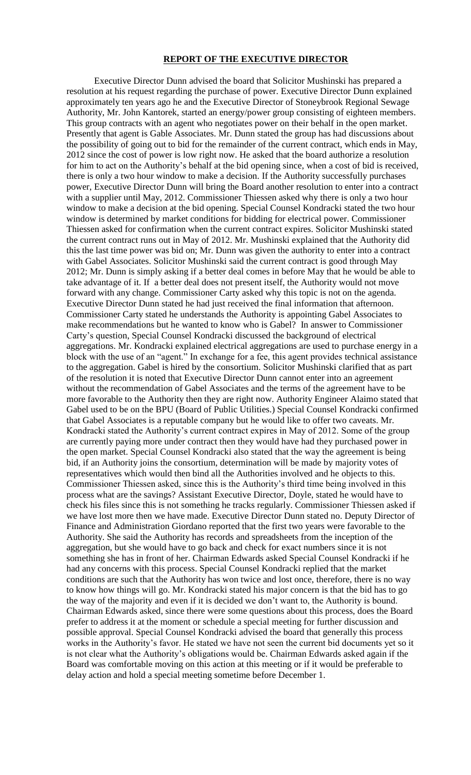#### **REPORT OF THE EXECUTIVE DIRECTOR**

Executive Director Dunn advised the board that Solicitor Mushinski has prepared a resolution at his request regarding the purchase of power. Executive Director Dunn explained approximately ten years ago he and the Executive Director of Stoneybrook Regional Sewage Authority, Mr. John Kantorek, started an energy/power group consisting of eighteen members. This group contracts with an agent who negotiates power on their behalf in the open market. Presently that agent is Gable Associates. Mr. Dunn stated the group has had discussions about the possibility of going out to bid for the remainder of the current contract, which ends in May, 2012 since the cost of power is low right now. He asked that the board authorize a resolution for him to act on the Authority's behalf at the bid opening since, when a cost of bid is received, there is only a two hour window to make a decision. If the Authority successfully purchases power, Executive Director Dunn will bring the Board another resolution to enter into a contract with a supplier until May, 2012. Commissioner Thiessen asked why there is only a two hour window to make a decision at the bid opening. Special Counsel Kondracki stated the two hour window is determined by market conditions for bidding for electrical power. Commissioner Thiessen asked for confirmation when the current contract expires. Solicitor Mushinski stated the current contract runs out in May of 2012. Mr. Mushinski explained that the Authority did this the last time power was bid on; Mr. Dunn was given the authority to enter into a contract with Gabel Associates. Solicitor Mushinski said the current contract is good through May 2012; Mr. Dunn is simply asking if a better deal comes in before May that he would be able to take advantage of it. If a better deal does not present itself, the Authority would not move forward with any change. Commissioner Carty asked why this topic is not on the agenda. Executive Director Dunn stated he had just received the final information that afternoon. Commissioner Carty stated he understands the Authority is appointing Gabel Associates to make recommendations but he wanted to know who is Gabel? In answer to Commissioner Carty's question, Special Counsel Kondracki discussed the background of electrical aggregations. Mr. Kondracki explained electrical aggregations are used to purchase energy in a block with the use of an "agent." In exchange for a fee, this agent provides technical assistance to the aggregation. Gabel is hired by the consortium. Solicitor Mushinski clarified that as part of the resolution it is noted that Executive Director Dunn cannot enter into an agreement without the recommendation of Gabel Associates and the terms of the agreement have to be more favorable to the Authority then they are right now. Authority Engineer Alaimo stated that Gabel used to be on the BPU (Board of Public Utilities.) Special Counsel Kondracki confirmed that Gabel Associates is a reputable company but he would like to offer two caveats. Mr. Kondracki stated the Authority's current contract expires in May of 2012. Some of the group are currently paying more under contract then they would have had they purchased power in the open market. Special Counsel Kondracki also stated that the way the agreement is being bid, if an Authority joins the consortium, determination will be made by majority votes of representatives which would then bind all the Authorities involved and he objects to this. Commissioner Thiessen asked, since this is the Authority's third time being involved in this process what are the savings? Assistant Executive Director, Doyle, stated he would have to check his files since this is not something he tracks regularly. Commissioner Thiessen asked if we have lost more then we have made. Executive Director Dunn stated no. Deputy Director of Finance and Administration Giordano reported that the first two years were favorable to the Authority. She said the Authority has records and spreadsheets from the inception of the aggregation, but she would have to go back and check for exact numbers since it is not something she has in front of her. Chairman Edwards asked Special Counsel Kondracki if he had any concerns with this process. Special Counsel Kondracki replied that the market conditions are such that the Authority has won twice and lost once, therefore, there is no way to know how things will go. Mr. Kondracki stated his major concern is that the bid has to go the way of the majority and even if it is decided we don't want to, the Authority is bound. Chairman Edwards asked, since there were some questions about this process, does the Board prefer to address it at the moment or schedule a special meeting for further discussion and possible approval. Special Counsel Kondracki advised the board that generally this process works in the Authority's favor. He stated we have not seen the current bid documents yet so it is not clear what the Authority's obligations would be. Chairman Edwards asked again if the Board was comfortable moving on this action at this meeting or if it would be preferable to delay action and hold a special meeting sometime before December 1.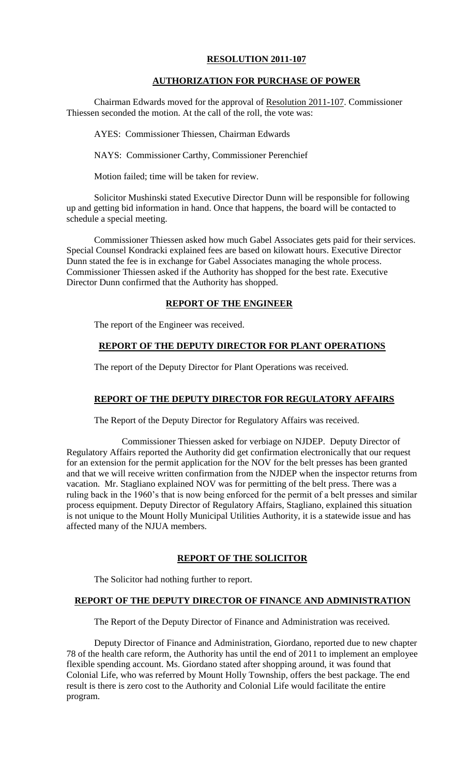# **AUTHORIZATION FOR PURCHASE OF POWER**

Chairman Edwards moved for the approval of Resolution 2011-107. Commissioner Thiessen seconded the motion. At the call of the roll, the vote was:

AYES: Commissioner Thiessen, Chairman Edwards

NAYS: Commissioner Carthy, Commissioner Perenchief

Motion failed; time will be taken for review.

Solicitor Mushinski stated Executive Director Dunn will be responsible for following up and getting bid information in hand. Once that happens, the board will be contacted to schedule a special meeting.

Commissioner Thiessen asked how much Gabel Associates gets paid for their services. Special Counsel Kondracki explained fees are based on kilowatt hours. Executive Director Dunn stated the fee is in exchange for Gabel Associates managing the whole process. Commissioner Thiessen asked if the Authority has shopped for the best rate. Executive Director Dunn confirmed that the Authority has shopped.

## **REPORT OF THE ENGINEER**

The report of the Engineer was received.

# **REPORT OF THE DEPUTY DIRECTOR FOR PLANT OPERATIONS**

The report of the Deputy Director for Plant Operations was received.

# **REPORT OF THE DEPUTY DIRECTOR FOR REGULATORY AFFAIRS**

The Report of the Deputy Director for Regulatory Affairs was received.

Commissioner Thiessen asked for verbiage on NJDEP. Deputy Director of Regulatory Affairs reported the Authority did get confirmation electronically that our request for an extension for the permit application for the NOV for the belt presses has been granted and that we will receive written confirmation from the NJDEP when the inspector returns from vacation. Mr. Stagliano explained NOV was for permitting of the belt press. There was a ruling back in the 1960's that is now being enforced for the permit of a belt presses and similar process equipment. Deputy Director of Regulatory Affairs, Stagliano, explained this situation is not unique to the Mount Holly Municipal Utilities Authority, it is a statewide issue and has affected many of the NJUA members.

# **REPORT OF THE SOLICITOR**

The Solicitor had nothing further to report.

# **REPORT OF THE DEPUTY DIRECTOR OF FINANCE AND ADMINISTRATION**

The Report of the Deputy Director of Finance and Administration was received.

Deputy Director of Finance and Administration, Giordano, reported due to new chapter 78 of the health care reform, the Authority has until the end of 2011 to implement an employee flexible spending account. Ms. Giordano stated after shopping around, it was found that Colonial Life, who was referred by Mount Holly Township, offers the best package. The end result is there is zero cost to the Authority and Colonial Life would facilitate the entire program.